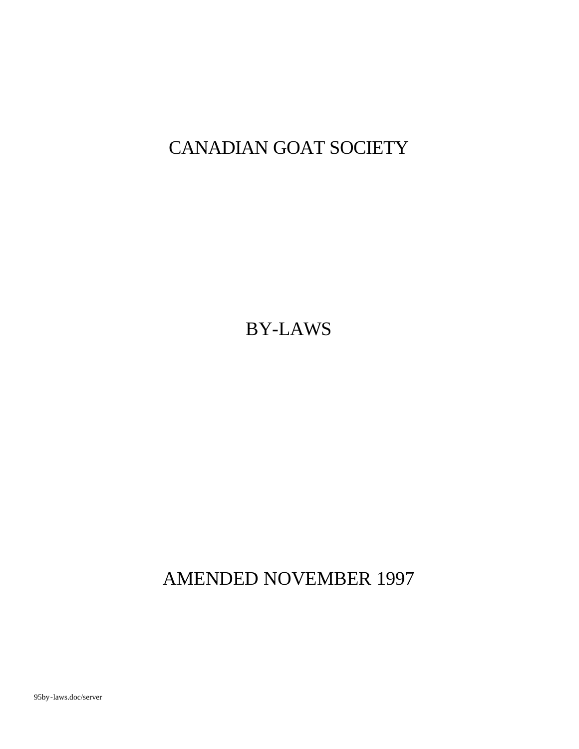# CANADIAN GOAT SOCIETY

BY-LAWS

AMENDED NOVEMBER 1997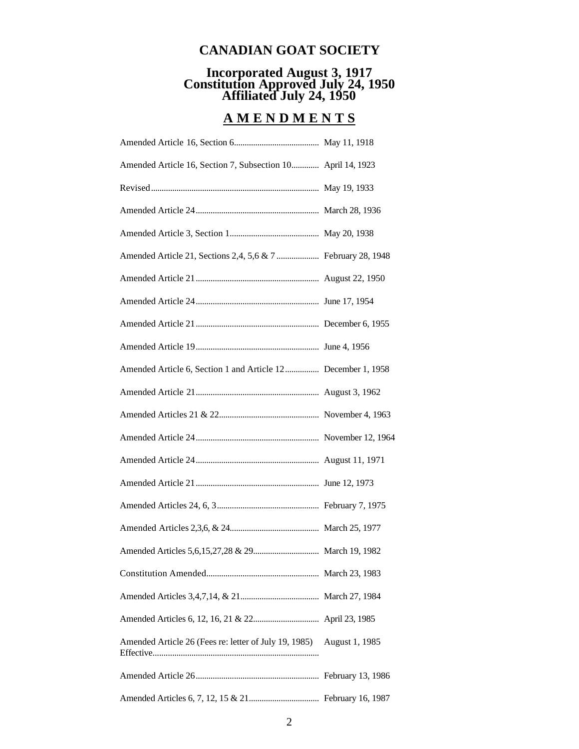# **CANADIAN GOAT SOCIETY**

# **Incorporated August 3, 1917 Constitution Approved July 24, 1950 Affiliated July 24, 1950**

# **A M E N D M E N T S**

| Amended Article 16, Section 7, Subsection 10 April 14, 1923          |  |
|----------------------------------------------------------------------|--|
|                                                                      |  |
|                                                                      |  |
|                                                                      |  |
|                                                                      |  |
|                                                                      |  |
|                                                                      |  |
|                                                                      |  |
|                                                                      |  |
| Amended Article 6, Section 1 and Article 12 December 1, 1958         |  |
|                                                                      |  |
|                                                                      |  |
|                                                                      |  |
|                                                                      |  |
|                                                                      |  |
|                                                                      |  |
|                                                                      |  |
|                                                                      |  |
|                                                                      |  |
|                                                                      |  |
|                                                                      |  |
| Amended Article 26 (Fees re: letter of July 19, 1985) August 1, 1985 |  |
|                                                                      |  |
|                                                                      |  |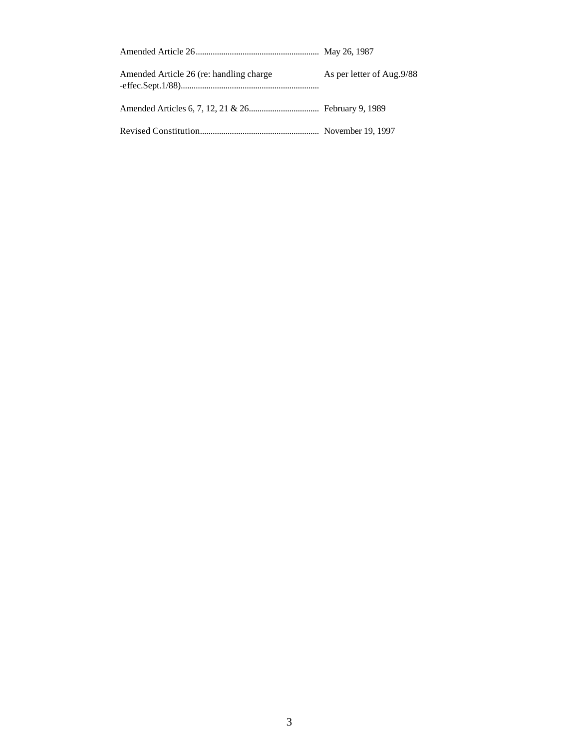| Amended Article 26 (re: handling charge | As per letter of Aug.9/88 |
|-----------------------------------------|---------------------------|
|                                         |                           |
|                                         |                           |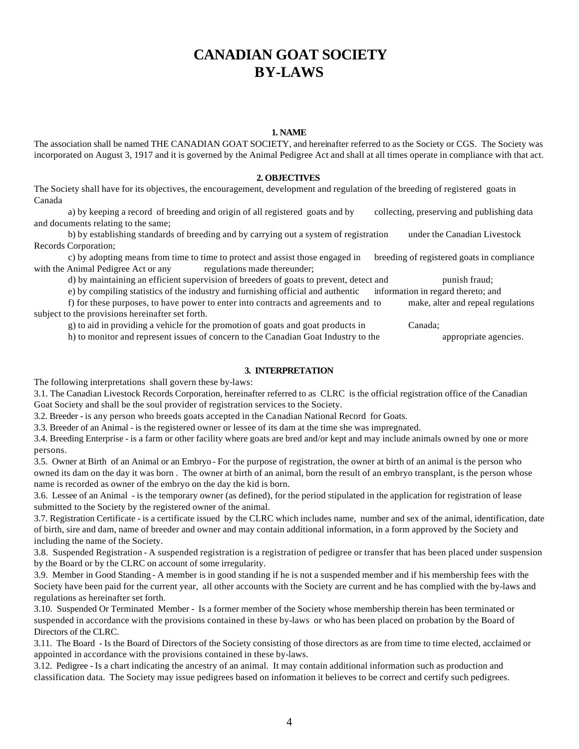# **CANADIAN GOAT SOCIETY BY-LAWS**

# **1. NAME**

The association shall be named THE CANADIAN GOAT SOCIETY, and hereinafter referred to as the Society or CGS. The Society was incorporated on August 3, 1917 and it is governed by the Animal Pedigree Act and shall at all times operate in compliance with that act.

### **2. OBJECTIVES**

The Society shall have for its objectives, the encouragement, development and regulation of the breeding of registered goats in Canada

a) by keeping a record of breeding and origin of all registered goats and by collecting, preserving and publishing data and documents relating to the same;

b) by establishing standards of breeding and by carrying out a system of registration under the Canadian Livestock Records Corporation;

c) by adopting means from time to time to protect and assist those engaged in breeding of registered goats in compliance with the Animal Pedigree Act or any regulations made thereunder;

d) by maintaining an efficient supervision of breeders of goats to prevent, detect and punish fraud;

e) by compiling statistics of the industry and furnishing official and authentic information in regard thereto; and

f) for these purposes, to have power to enter into contracts and agreements and to make, alter and repeal regulations subject to the provisions hereinafter set forth.

g) to aid in providing a vehicle for the promotion of goats and goat products in Canada;

h) to monitor and represent issues of concern to the Canadian Goat Industry to the appropriate agencies.

# **3. INTERPRETATION**

The following interpretations shall govern these by-laws:

3.1. The Canadian Livestock Records Corporation, hereinafter referred to as CLRC is the official registration office of the Canadian Goat Society and shall be the soul provider of registration services to the Society.

3.2. Breeder - is any person who breeds goats accepted in the Canadian National Record for Goats.

3.3. Breeder of an Animal - is the registered owner or lessee of its dam at the time she was impregnated.

3.4. Breeding Enterprise - is a farm or other facility where goats are bred and/or kept and may include animals owned by one or more persons.

3.5. Owner at Birth of an Animal or an Embryo - For the purpose of registration, the owner at birth of an animal is the person who owned its dam on the day it was born . The owner at birth of an animal, born the result of an embryo transplant, is the person whose name is recorded as owner of the embryo on the day the kid is born.

3.6. Lessee of an Animal - is the temporary owner (as defined), for the period stipulated in the application for registration of lease submitted to the Society by the registered owner of the animal.

3.7. Registration Certificate - is a certificate issued by the CLRC which includes name, number and sex of the animal, identification, date of birth, sire and dam, name of breeder and owner and may contain additional information, in a form approved by the Society and including the name of the Society.

3.8. Suspended Registration - A suspended registration is a registration of pedigree or transfer that has been placed under suspension by the Board or by the CLRC on account of some irregularity.

3.9. Member in Good Standing - A member is in good standing if he is not a suspended member and if his membership fees with the Society have been paid for the current year, all other accounts with the Society are current and he has complied with the by-laws and regulations as hereinafter set forth.

3.10. Suspended Or Terminated Member - Is a former member of the Society whose membership therein has been terminated or suspended in accordance with the provisions contained in these by-laws or who has been placed on probation by the Board of Directors of the CLRC.

3.11. The Board - Is the Board of Directors of the Society consisting of those directors as are from time to time elected, acclaimed or appointed in accordance with the provisions contained in these by-laws.

3.12. Pedigree - Is a chart indicating the ancestry of an animal. It may contain additional information such as production and classification data. The Society may issue pedigrees based on information it believes to be correct and certify such pedigrees.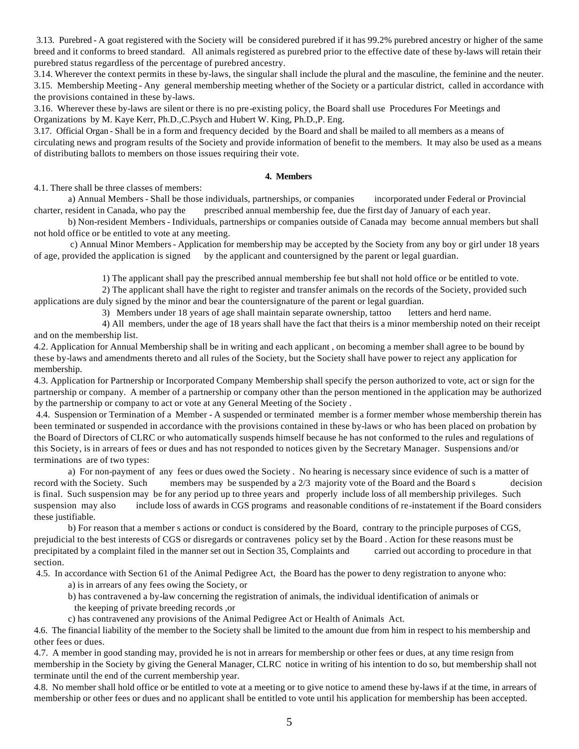3.13. Purebred - A goat registered with the Society will be considered purebred if it has 99.2% purebred ancestry or higher of the same breed and it conforms to breed standard. All animals registered as purebred prior to the effective date of these by-laws will retain their purebred status regardless of the percentage of purebred ancestry.

3.14. Wherever the context permits in these by-laws, the singular shall include the plural and the masculine, the feminine and the neuter. 3.15. Membership Meeting - Any general membership meeting whether of the Society or a particular district, called in accordance with the provisions contained in these by-laws.

3.16. Wherever these by-laws are silent or there is no pre-existing policy, the Board shall use Procedures For Meetings and Organizations by M. Kaye Kerr, Ph.D.,C.Psych and Hubert W. King, Ph.D.,P. Eng.

3.17. Official Organ - Shall be in a form and frequency decided by the Board and shall be mailed to all members as a means of circulating news and program results of the Society and provide information of benefit to the members. It may also be used as a means of distributing ballots to members on those issues requiring their vote.

#### **4. Members**

4.1. There shall be three classes of members:

a) Annual Members - Shall be those individuals, partnerships, or companies incorporated under Federal or Provincial charter, resident in Canada, who pay the prescribed annual membership fee, due the first day of January of each year.

b) Non-resident Members - Individuals, partnerships or companies outside of Canada may become annual members but shall not hold office or be entitled to vote at any meeting.

 c) Annual Minor Members - Application for membership may be accepted by the Society from any boy or girl under 18 years of age, provided the application is signed by the applicant and countersigned by the parent or legal guardian.

1) The applicant shall pay the prescribed annual membership fee but shall not hold office or be entitled to vote.

2) The applicant shall have the right to register and transfer animals on the records of the Society, provided such applications are duly signed by the minor and bear the countersignature of the parent or legal guardian.

3) Members under 18 years of age shall maintain separate ownership, tattoo letters and herd name.

4) All members, under the age of 18 years shall have the fact that theirs is a minor membership noted on their receipt and on the membership list.

4.2. Application for Annual Membership shall be in writing and each applicant , on becoming a member shall agree to be bound by these by-laws and amendments thereto and all rules of the Society, but the Society shall have power to reject any application for membership.

4.3. Application for Partnership or Incorporated Company Membership shall specify the person authorized to vote, act or sign for the partnership or company. A member of a partnership or company other than the person mentioned in the application may be authorized by the partnership or company to act or vote at any General Meeting of the Society .

 4.4. Suspension or Termination of a Member - A suspended or terminated member is a former member whose membership therein has been terminated or suspended in accordance with the provisions contained in these by-laws or who has been placed on probation by the Board of Directors of CLRC or who automatically suspends himself because he has not conformed to the rules and regulations of this Society, is in arrears of fees or dues and has not responded to notices given by the Secretary Manager. Suspensions and/or terminations are of two types:

a) For non-payment of any fees or dues owed the Society . No hearing is necessary since evidence of such is a matter of record with the Society. Such members may be suspended by a 2/3 majority vote of the Board and the Board s decision is final. Such suspension may be for any period up to three years and properly include loss of all membership privileges. Such suspension may also include loss of awards in CGS programs and reasonable conditions of re-instatement if the Board considers these justifiable.

b) For reason that a member s actions or conduct is considered by the Board, contrary to the principle purposes of CGS, prejudicial to the best interests of CGS or disregards or contravenes policy set by the Board . Action for these reasons must be precipitated by a complaint filed in the manner set out in Section 35, Complaints and carried out according to procedure in that section.

4.5. In accordance with Section 61 of the Animal Pedigree Act, the Board has the power to deny registration to anyone who:

- a) is in arrears of any fees owing the Society, or
- b) has contravened a by-law concerning the registration of animals, the individual identification of animals or the keeping of private breeding records ,or
- c) has contravened any provisions of the Animal Pedigree Act or Health of Animals Act.

4.6. The financial liability of the member to the Society shall be limited to the amount due from him in respect to his membership and other fees or dues.

4.7. A member in good standing may, provided he is not in arrears for membership or other fees or dues, at any time resign from membership in the Society by giving the General Manager, CLRC notice in writing of his intention to do so, but membership shall not terminate until the end of the current membership year.

4.8. No member shall hold office or be entitled to vote at a meeting or to give notice to amend these by-laws if at the time, in arrears of membership or other fees or dues and no applicant shall be entitled to vote until his application for membership has been accepted.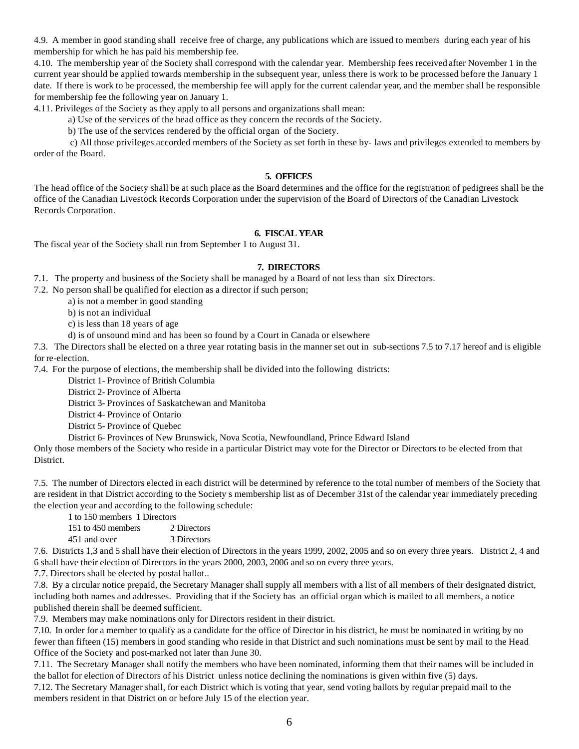4.9. A member in good standing shall receive free of charge, any publications which are issued to members during each year of his membership for which he has paid his membership fee.

4.10. The membership year of the Society shall correspond with the calendar year. Membership fees received after November 1 in the current year should be applied towards membership in the subsequent year, unless there is work to be processed before the January 1 date. If there is work to be processed, the membership fee will apply for the current calendar year, and the member shall be responsible for membership fee the following year on January 1.

4.11. Privileges of the Society as they apply to all persons and organizations shall mean:

a) Use of the services of the head office as they concern the records of the Society.

b) The use of the services rendered by the official organ of the Society.

 c) All those privileges accorded members of the Society as set forth in these by- laws and privileges extended to members by order of the Board.

#### **5. OFFICES**

The head office of the Society shall be at such place as the Board determines and the office for the registration of pedigrees shall be the office of the Canadian Livestock Records Corporation under the supervision of the Board of Directors of the Canadian Livestock Records Corporation.

# **6. FISCAL YEAR**

The fiscal year of the Society shall run from September 1 to August 31.

# **7. DIRECTORS**

7.1. The property and business of the Society shall be managed by a Board of not less than six Directors.

7.2. No person shall be qualified for election as a director if such person;

a) is not a member in good standing

b) is not an individual

c) is less than 18 years of age

d) is of unsound mind and has been so found by a Court in Canada or elsewhere

7.3. The Directors shall be elected on a three year rotating basis in the manner set out in sub-sections 7.5 to 7.17 hereof and is eligible for re-election.

7.4. For the purpose of elections, the membership shall be divided into the following districts:

District 1- Province of British Columbia

District 2- Province of Alberta

District 3- Provinces of Saskatchewan and Manitoba

District 4- Province of Ontario

District 5- Province of Quebec

District 6- Provinces of New Brunswick, Nova Scotia, Newfoundland, Prince Edward Island

Only those members of the Society who reside in a particular District may vote for the Director or Directors to be elected from that District.

7.5. The number of Directors elected in each district will be determined by reference to the total number of members of the Society that are resident in that District according to the Society s membership list as of December 31st of the calendar year immediately preceding the election year and according to the following schedule:

1 to 150 members 1 Directors

151 to 450 members 2 Directors 451 and over 3 Directors

7.6. Districts 1,3 and 5 shall have their election of Directors in the years 1999, 2002, 2005 and so on every three years. District 2, 4 and 6 shall have their election of Directors in the years 2000, 2003, 2006 and so on every three years.

7.7. Directors shall be elected by postal ballot..

7.8. By a circular notice prepaid, the Secretary Manager shall supply all members with a list of all members of their designated district, including both names and addresses. Providing that if the Society has an official organ which is mailed to all members, a notice published therein shall be deemed sufficient.

7.9. Members may make nominations only for Directors resident in their district.

7.10. In order for a member to qualify as a candidate for the office of Director in his district, he must be nominated in writing by no fewer than fifteen (15) members in good standing who reside in that District and such nominations must be sent by mail to the Head Office of the Society and post-marked not later than June 30.

7.11. The Secretary Manager shall notify the members who have been nominated, informing them that their names will be included in the ballot for election of Directors of his District unless notice declining the nominations is given within five (5) days.

7.12. The Secretary Manager shall, for each District which is voting that year, send voting ballots by regular prepaid mail to the members resident in that District on or before July 15 of the election year.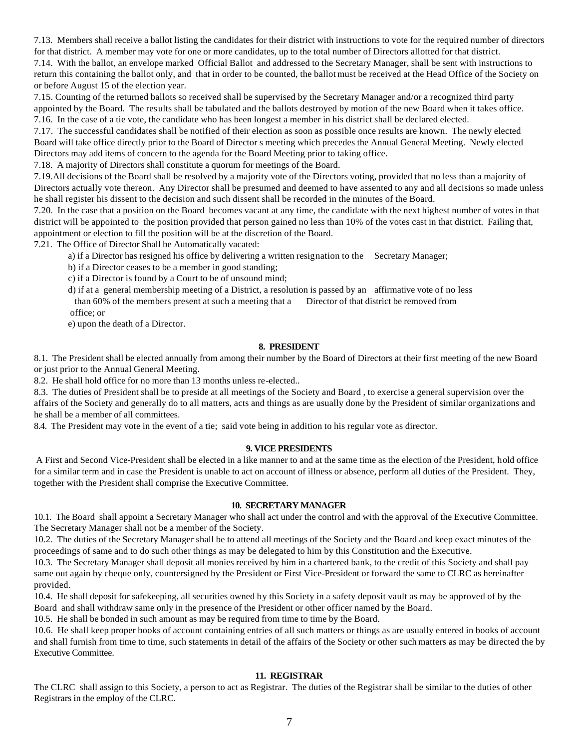7.13. Members shall receive a ballot listing the candidates for their district with instructions to vote for the required number of directors for that district. A member may vote for one or more candidates, up to the total number of Directors allotted for that district.

7.14. With the ballot, an envelope marked Official Ballot and addressed to the Secretary Manager, shall be sent with instructions to return this containing the ballot only, and that in order to be counted, the ballot must be received at the Head Office of the Society on or before August 15 of the election year.

7.15. Counting of the returned ballots so received shall be supervised by the Secretary Manager and/or a recognized third party appointed by the Board. The results shall be tabulated and the ballots destroyed by motion of the new Board when it takes office. 7.16. In the case of a tie vote, the candidate who has been longest a member in his district shall be declared elected.

7.17. The successful candidates shall be notified of their election as soon as possible once results are known. The newly elected Board will take office directly prior to the Board of Director s meeting which precedes the Annual General Meeting. Newly elected Directors may add items of concern to the agenda for the Board Meeting prior to taking office.

7.18. A majority of Directors shall constitute a quorum for meetings of the Board.

7.19.All decisions of the Board shall be resolved by a majority vote of the Directors voting, provided that no less than a majority of Directors actually vote thereon. Any Director shall be presumed and deemed to have assented to any and all decisions so made unless he shall register his dissent to the decision and such dissent shall be recorded in the minutes of the Board.

7.20. In the case that a position on the Board becomes vacant at any time, the candidate with the next highest number of votes in that district will be appointed to the position provided that person gained no less than 10% of the votes cast in that district. Failing that, appointment or election to fill the position will be at the discretion of the Board.

7.21. The Office of Director Shall be Automatically vacated:

- a) if a Director has resigned his office by delivering a written resignation to the Secretary Manager;
- b) if a Director ceases to be a member in good standing;
- c) if a Director is found by a Court to be of unsound mind;
- d) if at a general membership meeting of a District, a resolution is passed by an affirmative vote of no less than 60% of the members present at such a meeting that a Director of that district be removed from office; or

e) upon the death of a Director.

# **8. PRESIDENT**

8.1. The President shall be elected annually from among their number by the Board of Directors at their first meeting of the new Board or just prior to the Annual General Meeting.

8.2. He shall hold office for no more than 13 months unless re-elected..

8.3. The duties of President shall be to preside at all meetings of the Society and Board , to exercise a general supervision over the affairs of the Society and generally do to all matters, acts and things as are usually done by the President of similar organizations and he shall be a member of all committees.

8.4. The President may vote in the event of a tie; said vote being in addition to his regular vote as director.

# **9. VICE PRESIDENTS**

 A First and Second Vice-President shall be elected in a like manner to and at the same time as the election of the President, hold office for a similar term and in case the President is unable to act on account of illness or absence, perform all duties of the President. They, together with the President shall comprise the Executive Committee.

# **10. SECRETARY MANAGER**

10.1. The Board shall appoint a Secretary Manager who shall act under the control and with the approval of the Executive Committee. The Secretary Manager shall not be a member of the Society.

10.2. The duties of the Secretary Manager shall be to attend all meetings of the Society and the Board and keep exact minutes of the proceedings of same and to do such other things as may be delegated to him by this Constitution and the Executive.

10.3. The Secretary Manager shall deposit all monies received by him in a chartered bank, to the credit of this Society and shall pay same out again by cheque only, countersigned by the President or First Vice-President or forward the same to CLRC as hereinafter provided.

10.4. He shall deposit for safekeeping, all securities owned by this Society in a safety deposit vault as may be approved of by the Board and shall withdraw same only in the presence of the President or other officer named by the Board.

10.5. He shall be bonded in such amount as may be required from time to time by the Board.

10.6. He shall keep proper books of account containing entries of all such matters or things as are usually entered in books of account and shall furnish from time to time, such statements in detail of the affairs of the Society or other such matters as may be directed the by Executive Committee.

# **11. REGISTRAR**

The CLRC shall assign to this Society, a person to act as Registrar. The duties of the Registrar shall be similar to the duties of other Registrars in the employ of the CLRC.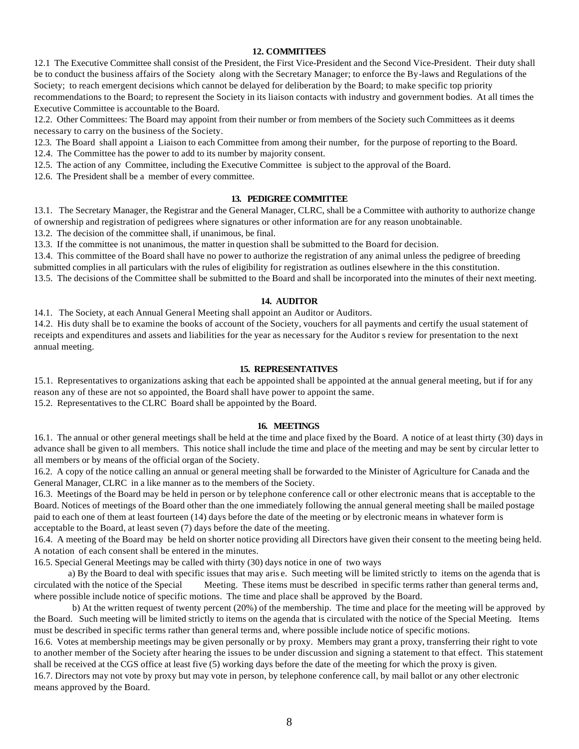# **12. COMMITTEES**

12.1 The Executive Committee shall consist of the President, the First Vice-President and the Second Vice-President. Their duty shall be to conduct the business affairs of the Society along with the Secretary Manager; to enforce the By-laws and Regulations of the Society; to reach emergent decisions which cannot be delayed for deliberation by the Board; to make specific top priority recommendations to the Board; to represent the Society in its liaison contacts with industry and government bodies. At all times the Executive Committee is accountable to the Board.

12.2. Other Committees: The Board may appoint from their number or from members of the Society such Committees as it deems necessary to carry on the business of the Society.

12.3. The Board shall appoint a Liaison to each Committee from among their number, for the purpose of reporting to the Board.

12.4. The Committee has the power to add to its number by majority consent.

12.5. The action of any Committee, including the Executive Committee is subject to the approval of the Board.

12.6. The President shall be a member of every committee.

#### **13. PEDIGREE COMMITTEE**

13.1. The Secretary Manager, the Registrar and the General Manager, CLRC, shall be a Committee with authority to authorize change of ownership and registration of pedigrees where signatures or other information are for any reason unobtainable.

13.2. The decision of the committee shall, if unanimous, be final.

13.3. If the committee is not unanimous, the matter in question shall be submitted to the Board for decision.

13.4. This committee of the Board shall have no power to authorize the registration of any animal unless the pedigree of breeding submitted complies in all particulars with the rules of eligibility for registration as outlines elsewhere in the this constitution.

13.5. The decisions of the Committee shall be submitted to the Board and shall be incorporated into the minutes of their next meeting.

# **14. AUDITOR**

14.1. The Society, at each Annual General Meeting shall appoint an Auditor or Auditors.

14.2. His duty shall be to examine the books of account of the Society, vouchers for all payments and certify the usual statement of receipts and expenditures and assets and liabilities for the year as necessary for the Auditor s review for presentation to the next annual meeting.

#### **15. REPRESENTATIVES**

15.1. Representatives to organizations asking that each be appointed shall be appointed at the annual general meeting, but if for any reason any of these are not so appointed, the Board shall have power to appoint the same.

15.2. Representatives to the CLRC Board shall be appointed by the Board.

#### **16. MEETINGS**

16.1. The annual or other general meetings shall be held at the time and place fixed by the Board. A notice of at least thirty (30) days in advance shall be given to all members. This notice shall include the time and place of the meeting and may be sent by circular letter to all members or by means of the official organ of the Society.

16.2. A copy of the notice calling an annual or general meeting shall be forwarded to the Minister of Agriculture for Canada and the General Manager, CLRC in a like manner as to the members of the Society.

16.3. Meetings of the Board may be held in person or by telephone conference call or other electronic means that is acceptable to the Board. Notices of meetings of the Board other than the one immediately following the annual general meeting shall be mailed postage paid to each one of them at least fourteen (14) days before the date of the meeting or by electronic means in whatever form is acceptable to the Board, at least seven (7) days before the date of the meeting.

16.4. A meeting of the Board may be held on shorter notice providing all Directors have given their consent to the meeting being held. A notation of each consent shall be entered in the minutes.

16.5. Special General Meetings may be called with thirty (30) days notice in one of two ways

a) By the Board to deal with specific issues that may aris e. Such meeting will be limited strictly to items on the agenda that is circulated with the notice of the Special Meeting. These items must be described in specific terms rather than general terms and, where possible include notice of specific motions. The time and place shall be approved by the Board.

 b) At the written request of twenty percent (20%) of the membership. The time and place for the meeting will be approved by the Board. Such meeting will be limited strictly to items on the agenda that is circulated with the notice of the Special Meeting. Items must be described in specific terms rather than general terms and, where possible include notice of specific motions.

16.6. Votes at membership meetings may be given personally or by proxy. Members may grant a proxy, transferring their right to vote to another member of the Society after hearing the issues to be under discussion and signing a statement to that effect. This statement shall be received at the CGS office at least five (5) working days before the date of the meeting for which the proxy is given.

16.7. Directors may not vote by proxy but may vote in person, by telephone conference call, by mail ballot or any other electronic means approved by the Board.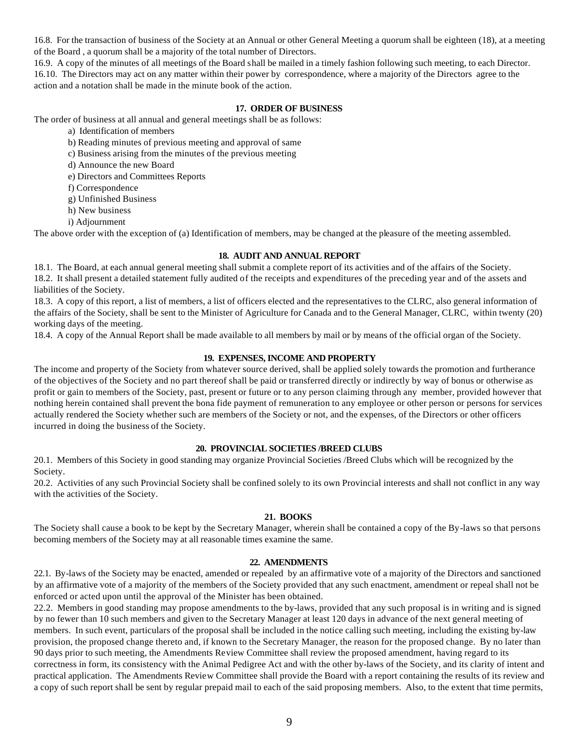16.8. For the transaction of business of the Society at an Annual or other General Meeting a quorum shall be eighteen (18), at a meeting of the Board , a quorum shall be a majority of the total number of Directors.

16.9. A copy of the minutes of all meetings of the Board shall be mailed in a timely fashion following such meeting, to each Director. 16.10. The Directors may act on any matter within their power by correspondence, where a majority of the Directors agree to the action and a notation shall be made in the minute book of the action.

# **17. ORDER OF BUSINESS**

The order of business at all annual and general meetings shall be as follows:

- a) Identification of members
- b) Reading minutes of previous meeting and approval of same
- c) Business arising from the minutes of the previous meeting
- d) Announce the new Board
- e) Directors and Committees Reports
- f) Correspondence
- g) Unfinished Business
- h) New business
- i) Adjournment

The above order with the exception of (a) Identification of members, may be changed at the pleasure of the meeting assembled.

#### **18. AUDIT AND ANNUAL REPORT**

18.1. The Board, at each annual general meeting shall submit a complete report of its activities and of the affairs of the Society. 18.2. It shall present a detailed statement fully audited of the receipts and expenditures of the preceding year and of the assets and liabilities of the Society.

18.3. A copy of this report, a list of members, a list of officers elected and the representatives to the CLRC, also general information of the affairs of the Society, shall be sent to the Minister of Agriculture for Canada and to the General Manager, CLRC, within twenty (20) working days of the meeting.

18.4. A copy of the Annual Report shall be made available to all members by mail or by means of the official organ of the Society.

# **19. EXPENSES, INCOME AND PROPERTY**

The income and property of the Society from whatever source derived, shall be applied solely towards the promotion and furtherance of the objectives of the Society and no part thereof shall be paid or transferred directly or indirectly by way of bonus or otherwise as profit or gain to members of the Society, past, present or future or to any person claiming through any member, provided however that nothing herein contained shall prevent the bona fide payment of remuneration to any employee or other person or persons for services actually rendered the Society whether such are members of the Society or not, and the expenses, of the Directors or other officers incurred in doing the business of the Society.

#### **20. PROVINCIAL SOCIETIES /BREED CLUBS**

20.1. Members of this Society in good standing may organize Provincial Societies /Breed Clubs which will be recognized by the Society.

20.2. Activities of any such Provincial Society shall be confined solely to its own Provincial interests and shall not conflict in any way with the activities of the Society.

#### **21. BOOKS**

The Society shall cause a book to be kept by the Secretary Manager, wherein shall be contained a copy of the By-laws so that persons becoming members of the Society may at all reasonable times examine the same.

# **22. AMENDMENTS**

22.1. By-laws of the Society may be enacted, amended or repealed by an affirmative vote of a majority of the Directors and sanctioned by an affirmative vote of a majority of the members of the Society provided that any such enactment, amendment or repeal shall not be enforced or acted upon until the approval of the Minister has been obtained.

22.2. Members in good standing may propose amendments to the by-laws, provided that any such proposal is in writing and is signed by no fewer than 10 such members and given to the Secretary Manager at least 120 days in advance of the next general meeting of members. In such event, particulars of the proposal shall be included in the notice calling such meeting, including the existing by-law provision, the proposed change thereto and, if known to the Secretary Manager, the reason for the proposed change. By no later than 90 days prior to such meeting, the Amendments Review Committee shall review the proposed amendment, having regard to its correctness in form, its consistency with the Animal Pedigree Act and with the other by-laws of the Society, and its clarity of intent and practical application. The Amendments Review Committee shall provide the Board with a report containing the results of its review and a copy of such report shall be sent by regular prepaid mail to each of the said proposing members. Also, to the extent that time permits,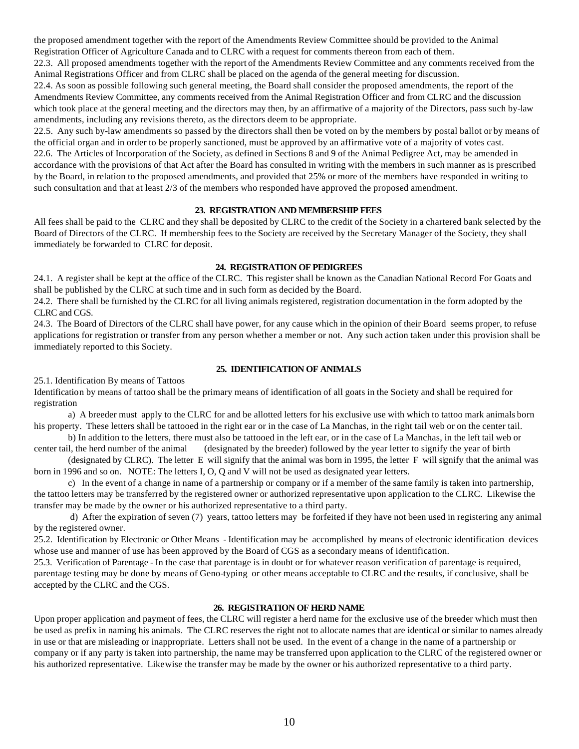the proposed amendment together with the report of the Amendments Review Committee should be provided to the Animal Registration Officer of Agriculture Canada and to CLRC with a request for comments thereon from each of them.

22.3. All proposed amendments together with the report of the Amendments Review Committee and any comments received from the Animal Registrations Officer and from CLRC shall be placed on the agenda of the general meeting for discussion.

22.4. As soon as possible following such general meeting, the Board shall consider the proposed amendments, the report of the Amendments Review Committee, any comments received from the Animal Registration Officer and from CLRC and the discussion which took place at the general meeting and the directors may then, by an affirmative of a majority of the Directors, pass such by-law amendments, including any revisions thereto, as the directors deem to be appropriate.

22.5. Any such by-law amendments so passed by the directors shall then be voted on by the members by postal ballot or by means of the official organ and in order to be properly sanctioned, must be approved by an affirmative vote of a majority of votes cast. 22.6. The Articles of Incorporation of the Society, as defined in Sections 8 and 9 of the Animal Pedigree Act, may be amended in accordance with the provisions of that Act after the Board has consulted in writing with the members in such manner as is prescribed by the Board, in relation to the proposed amendments, and provided that 25% or more of the members have responded in writing to such consultation and that at least 2/3 of the members who responded have approved the proposed amendment.

# **23. REGISTRATION AND MEMBERSHIP FEES**

All fees shall be paid to the CLRC and they shall be deposited by CLRC to the credit of the Society in a chartered bank selected by the Board of Directors of the CLRC. If membership fees to the Society are received by the Secretary Manager of the Society, they shall immediately be forwarded to CLRC for deposit.

# **24. REGISTRATION OF PEDIGREES**

24.1. A register shall be kept at the office of the CLRC. This register shall be known as the Canadian National Record For Goats and shall be published by the CLRC at such time and in such form as decided by the Board.

24.2. There shall be furnished by the CLRC for all living animals registered, registration documentation in the form adopted by the CLRC and CGS.

24.3. The Board of Directors of the CLRC shall have power, for any cause which in the opinion of their Board seems proper, to refuse applications for registration or transfer from any person whether a member or not. Any such action taken under this provision shall be immediately reported to this Society.

# **25. IDENTIFICATION OF ANIMALS**

25.1. Identification By means of Tattoos

Identification by means of tattoo shall be the primary means of identification of all goats in the Society and shall be required for registration

a) A breeder must apply to the CLRC for and be allotted letters for his exclusive use with which to tattoo mark animals born his property. These letters shall be tattooed in the right ear or in the case of La Manchas, in the right tail web or on the center tail.

b) In addition to the letters, there must also be tattooed in the left ear, or in the case of La Manchas, in the left tail web or center tail, the herd number of the animal (designated by the breeder) followed by the year letter to signify the year of birth

(designated by CLRC). The letter E will signify that the animal was born in 1995, the letter F will signify that the animal was born in 1996 and so on. NOTE: The letters I, O, Q and V will not be used as designated year letters.

c) In the event of a change in name of a partnership or company or if a member of the same family is taken into partnership, the tattoo letters may be transferred by the registered owner or authorized representative upon application to the CLRC. Likewise the transfer may be made by the owner or his authorized representative to a third party.

 d) After the expiration of seven (7) years, tattoo letters may be forfeited if they have not been used in registering any animal by the registered owner.

25.2. Identification by Electronic or Other Means - Identification may be accomplished by means of electronic identification devices whose use and manner of use has been approved by the Board of CGS as a secondary means of identification.

25.3. Verification of Parentage - In the case that parentage is in doubt or for whatever reason verification of parentage is required, parentage testing may be done by means of Geno-typing or other means acceptable to CLRC and the results, if conclusive, shall be accepted by the CLRC and the CGS.

# **26. REGISTRATION OF HERD NAME**

Upon proper application and payment of fees, the CLRC will register a herd name for the exclusive use of the breeder which must then be used as prefix in naming his animals. The CLRC reserves the right not to allocate names that are identical or similar to names already in use or that are misleading or inappropriate. Letters shall not be used. In the event of a change in the name of a partnership or company or if any party is taken into partnership, the name may be transferred upon application to the CLRC of the registered owner or his authorized representative. Likewise the transfer may be made by the owner or his authorized representative to a third party.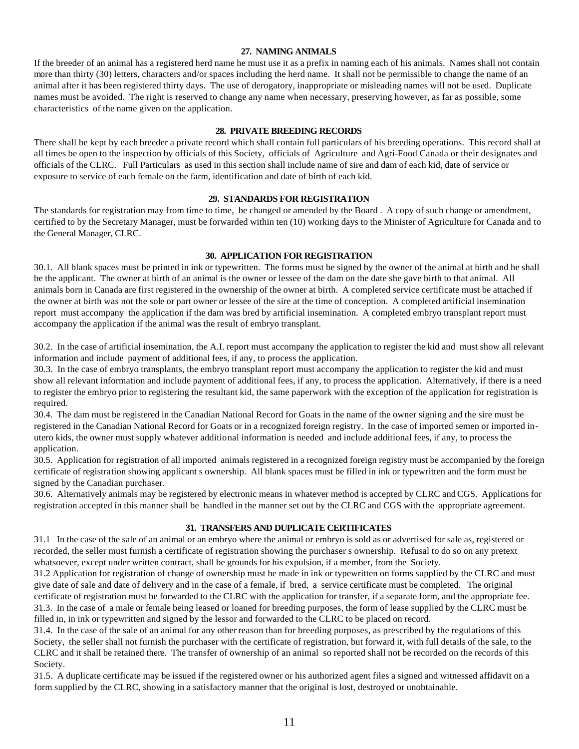# **27. NAMING ANIMALS**

If the breeder of an animal has a registered herd name he must use it as a prefix in naming each of his animals. Names shall not contain more than thirty (30) letters, characters and/or spaces including the herd name. It shall not be permissible to change the name of an animal after it has been registered thirty days. The use of derogatory, inappropriate or misleading names will not be used. Duplicate names must be avoided. The right is reserved to change any name when necessary, preserving however, as far as possible, some characteristics of the name given on the application.

#### **28. PRIVATE BREEDING RECORDS**

There shall be kept by each breeder a private record which shall contain full particulars of his breeding operations. This record shall at all times be open to the inspection by officials of this Society, officials of Agriculture and Agri-Food Canada or their designates and officials of the CLRC. Full Particulars as used in this section shall include name of sire and dam of each kid, date of service or exposure to service of each female on the farm, identification and date of birth of each kid.

#### **29. STANDARDS FOR REGISTRATION**

The standards for registration may from time to time, be changed or amended by the Board . A copy of such change or amendment, certified to by the Secretary Manager, must be forwarded within ten (10) working days to the Minister of Agriculture for Canada and to the General Manager, CLRC.

#### **30. APPLICATION FOR REGISTRATION**

30.1. All blank spaces must be printed in ink or typewritten. The forms must be signed by the owner of the animal at birth and he shall be the applicant. The owner at birth of an animal is the owner or lessee of the dam on the date she gave birth to that animal. All animals born in Canada are first registered in the ownership of the owner at birth. A completed service certificate must be attached if the owner at birth was not the sole or part owner or lessee of the sire at the time of conception. A completed artificial insemination report must accompany the application if the dam was bred by artificial insemination. A completed embryo transplant report must accompany the application if the animal was the result of embryo transplant.

30.2. In the case of artificial insemination, the A.I. report must accompany the application to register the kid and must show all relevant information and include payment of additional fees, if any, to process the application.

30.3. In the case of embryo transplants, the embryo transplant report must accompany the application to register the kid and must show all relevant information and include payment of additional fees, if any, to process the application. Alternatively, if there is a need to register the embryo prior to registering the resultant kid, the same paperwork with the exception of the application for registration is required.

30.4. The dam must be registered in the Canadian National Record for Goats in the name of the owner signing and the sire must be registered in the Canadian National Record for Goats or in a recognized foreign registry. In the case of imported semen or imported inutero kids, the owner must supply whatever additional information is needed and include additional fees, if any, to process the application.

30.5. Application for registration of all imported animals registered in a recognized foreign registry must be accompanied by the foreign certificate of registration showing applicant s ownership. All blank spaces must be filled in ink or typewritten and the form must be signed by the Canadian purchaser.

30.6. Alternatively animals may be registered by electronic means in whatever method is accepted by CLRC and CGS. Applications for registration accepted in this manner shall be handled in the manner set out by the CLRC and CGS with the appropriate agreement.

#### **31. TRANSFERS AND DUPLICATE CERTIFICATES**

31.1 In the case of the sale of an animal or an embryo where the animal or embryo is sold as or advertised for sale as, registered or recorded, the seller must furnish a certificate of registration showing the purchaser s ownership. Refusal to do so on any pretext whatsoever, except under written contract, shall be grounds for his expulsion, if a member, from the Society.

31.2 Application for registration of change of ownership must be made in ink or typewritten on forms supplied by the CLRC and must give date of sale and date of delivery and in the case of a female, if bred, a service certificate must be completed. The original certificate of registration must be forwarded to the CLRC with the application for transfer, if a separate form, and the appropriate fee. 31.3. In the case of a male or female being leased or loaned for breeding purposes, the form of lease supplied by the CLRC must be filled in, in ink or typewritten and signed by the lessor and forwarded to the CLRC to be placed on record.

31.4. In the case of the sale of an animal for any other reason than for breeding purposes, as prescribed by the regulations of this Society, the seller shall not furnish the purchaser with the certificate of registration, but forward it, with full details of the sale, to the CLRC and it shall be retained there. The transfer of ownership of an animal so reported shall not be recorded on the records of this Society.

31.5. A duplicate certificate may be issued if the registered owner or his authorized agent files a signed and witnessed affidavit on a form supplied by the CLRC, showing in a satisfactory manner that the original is lost, destroyed or unobtainable.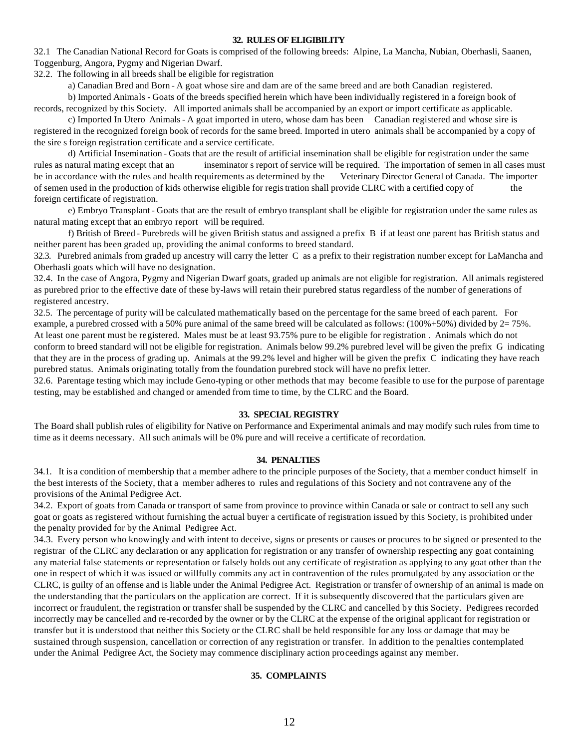#### **32. RULES OF ELIGIBILITY**

32.1 The Canadian National Record for Goats is comprised of the following breeds: Alpine, La Mancha, Nubian, Oberhasli, Saanen, Toggenburg, Angora, Pygmy and Nigerian Dwarf.

32.2. The following in all breeds shall be eligible for registration

a) Canadian Bred and Born - A goat whose sire and dam are of the same breed and are both Canadian registered.

b) Imported Animals - Goats of the breeds specified herein which have been individually registered in a foreign book of records, recognized by this Society. All imported animals shall be accompanied by an export or import certificate as applicable.

c) Imported In Utero Animals - A goat imported in utero, whose dam has been Canadian registered and whose sire is registered in the recognized foreign book of records for the same breed. Imported in utero animals shall be accompanied by a copy of the sire s foreign registration certificate and a service certificate.

d) Artificial Insemination - Goats that are the result of artificial insemination shall be eligible for registration under the same rules as natural mating except that an inseminator s report of service will be required. The importation of semen in all cases must be in accordance with the rules and health requirements as determined by the Veterinary Director General of Canada. The importer of semen used in the production of kids otherwise eligible for registration shall provide CLRC with a certified copy of the foreign certificate of registration.

e) Embryo Transplant - Goats that are the result of embryo transplant shall be eligible for registration under the same rules as natural mating except that an embryo report will be required.

f) British of Breed - Purebreds will be given British status and assigned a prefix B if at least one parent has British status and neither parent has been graded up, providing the animal conforms to breed standard.

32.3. Purebred animals from graded up ancestry will carry the letter C as a prefix to their registration number except for LaMancha and Oberhasli goats which will have no designation.

32.4. In the case of Angora, Pygmy and Nigerian Dwarf goats, graded up animals are not eligible for registration. All animals registered as purebred prior to the effective date of these by-laws will retain their purebred status regardless of the number of generations of registered ancestry.

32.5. The percentage of purity will be calculated mathematically based on the percentage for the same breed of each parent. For example, a purebred crossed with a 50% pure animal of the same breed will be calculated as follows: (100%+50%) divided by 2= 75%. At least one parent must be registered. Males must be at least 93.75% pure to be eligible for registration . Animals which do not conform to breed standard will not be eligible for registration. Animals below 99.2% purebred level will be given the prefix G indicating that they are in the process of grading up. Animals at the 99.2% level and higher will be given the prefix C indicating they have reach purebred status. Animals originating totally from the foundation purebred stock will have no prefix letter.

32.6. Parentage testing which may include Geno-typing or other methods that may become feasible to use for the purpose of parentage testing, may be established and changed or amended from time to time, by the CLRC and the Board.

#### **33. SPECIAL REGISTRY**

The Board shall publish rules of eligibility for Native on Performance and Experimental animals and may modify such rules from time to time as it deems necessary. All such animals will be 0% pure and will receive a certificate of recordation.

# **34. PENALTIES**

34.1. It is a condition of membership that a member adhere to the principle purposes of the Society, that a member conduct himself in the best interests of the Society, that a member adheres to rules and regulations of this Society and not contravene any of the provisions of the Animal Pedigree Act.

34.2. Export of goats from Canada or transport of same from province to province within Canada or sale or contract to sell any such goat or goats as registered without furnishing the actual buyer a certificate of registration issued by this Society, is prohibited under the penalty provided for by the Animal Pedigree Act.

34.3. Every person who knowingly and with intent to deceive, signs or presents or causes or procures to be signed or presented to the registrar of the CLRC any declaration or any application for registration or any transfer of ownership respecting any goat containing any material false statements or representation or falsely holds out any certificate of registration as applying to any goat other than the one in respect of which it was issued or willfully commits any act in contravention of the rules promulgated by any association or the CLRC, is guilty of an offense and is liable under the Animal Pedigree Act. Registration or transfer of ownership of an animal is made on the understanding that the particulars on the application are correct. If it is subsequently discovered that the particulars given are incorrect or fraudulent, the registration or transfer shall be suspended by the CLRC and cancelled by this Society. Pedigrees recorded incorrectly may be cancelled and re-recorded by the owner or by the CLRC at the expense of the original applicant for registration or transfer but it is understood that neither this Society or the CLRC shall be held responsible for any loss or damage that may be sustained through suspension, cancellation or correction of any registration or transfer. In addition to the penalties contemplated under the Animal Pedigree Act, the Society may commence disciplinary action proceedings against any member.

# **35. COMPLAINTS**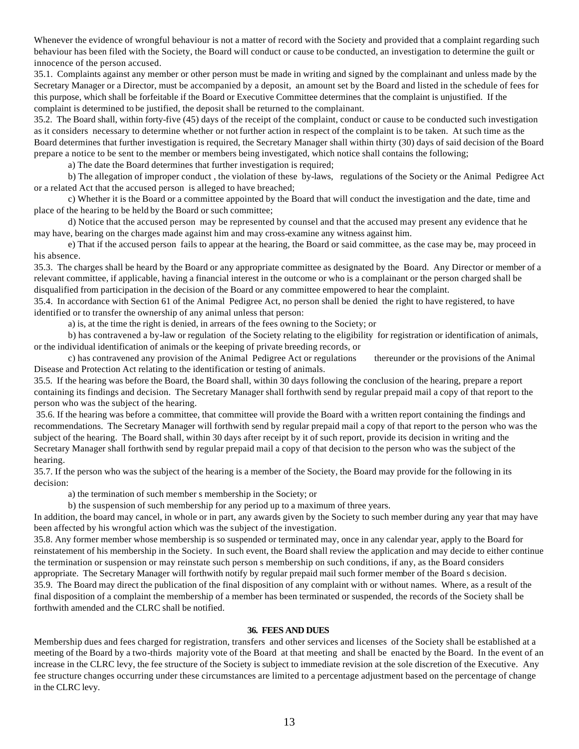Whenever the evidence of wrongful behaviour is not a matter of record with the Society and provided that a complaint regarding such behaviour has been filed with the Society, the Board will conduct or cause to be conducted, an investigation to determine the guilt or innocence of the person accused.

35.1. Complaints against any member or other person must be made in writing and signed by the complainant and unless made by the Secretary Manager or a Director, must be accompanied by a deposit, an amount set by the Board and listed in the schedule of fees for this purpose, which shall be forfeitable if the Board or Executive Committee determines that the complaint is unjustified. If the complaint is determined to be justified, the deposit shall be returned to the complainant.

35.2. The Board shall, within forty-five (45) days of the receipt of the complaint, conduct or cause to be conducted such investigation as it considers necessary to determine whether or not further action in respect of the complaint is to be taken. At such time as the Board determines that further investigation is required, the Secretary Manager shall within thirty (30) days of said decision of the Board prepare a notice to be sent to the member or members being investigated, which notice shall contains the following;

a) The date the Board determines that further investigation is required;

b) The allegation of improper conduct , the violation of these by-laws, regulations of the Society or the Animal Pedigree Act or a related Act that the accused person is alleged to have breached;

c) Whether it is the Board or a committee appointed by the Board that will conduct the investigation and the date, time and place of the hearing to be held by the Board or such committee;

d) Notice that the accused person may be represented by counsel and that the accused may present any evidence that he may have, bearing on the charges made against him and may cross-examine any witness against him.

e) That if the accused person fails to appear at the hearing, the Board or said committee, as the case may be, may proceed in his absence.

35.3. The charges shall be heard by the Board or any appropriate committee as designated by the Board. Any Director or member of a relevant committee, if applicable, having a financial interest in the outcome or who is a complainant or the person charged shall be disqualified from participation in the decision of the Board or any committee empowered to hear the complaint.

35.4. In accordance with Section 61 of the Animal Pedigree Act, no person shall be denied the right to have registered, to have identified or to transfer the ownership of any animal unless that person:

a) is, at the time the right is denied, in arrears of the fees owning to the Society; or

b) has contravened a by-law or regulation of the Society relating to the eligibility for registration or identification of animals, or the individual identification of animals or the keeping of private breeding records, or

c) has contravened any provision of the Animal Pedigree Act or regulations thereunder or the provisions of the Animal Disease and Protection Act relating to the identification or testing of animals.

35.5. If the hearing was before the Board, the Board shall, within 30 days following the conclusion of the hearing, prepare a report containing its findings and decision. The Secretary Manager shall forthwith send by regular prepaid mail a copy of that report to the person who was the subject of the hearing.

 35.6. If the hearing was before a committee, that committee will provide the Board with a written report containing the findings and recommendations. The Secretary Manager will forthwith send by regular prepaid mail a copy of that report to the person who was the subject of the hearing. The Board shall, within 30 days after receipt by it of such report, provide its decision in writing and the Secretary Manager shall forthwith send by regular prepaid mail a copy of that decision to the person who was the subject of the hearing.

35.7. If the person who was the subject of the hearing is a member of the Society, the Board may provide for the following in its decision:

a) the termination of such member s membership in the Society; or

b) the suspension of such membership for any period up to a maximum of three years.

In addition, the board may cancel, in whole or in part, any awards given by the Society to such member during any year that may have been affected by his wrongful action which was the subject of the investigation.

35.8. Any former member whose membership is so suspended or terminated may, once in any calendar year, apply to the Board for reinstatement of his membership in the Society. In such event, the Board shall review the application and may decide to either continue the termination or suspension or may reinstate such person s membership on such conditions, if any, as the Board considers appropriate. The Secretary Manager will forthwith notify by regular prepaid mail such former member of the Board s decision. 35.9. The Board may direct the publication of the final disposition of any complaint with or without names. Where, as a result of the final disposition of a complaint the membership of a member has been terminated or suspended, the records of the Society shall be forthwith amended and the CLRC shall be notified.

# **36. FEES AND DUES**

Membership dues and fees charged for registration, transfers and other services and licenses of the Society shall be established at a meeting of the Board by a two-thirds majority vote of the Board at that meeting and shall be enacted by the Board. In the event of an increase in the CLRC levy, the fee structure of the Society is subject to immediate revision at the sole discretion of the Executive. Any fee structure changes occurring under these circumstances are limited to a percentage adjustment based on the percentage of change in the CLRC levy.